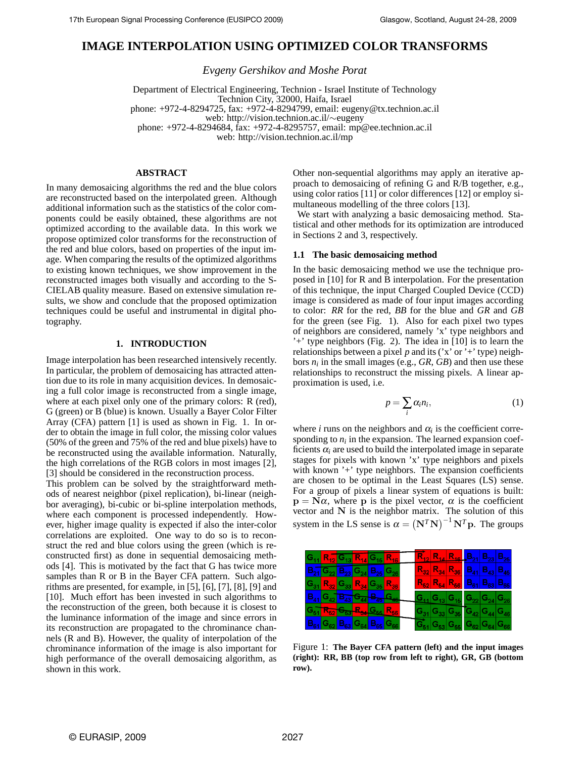# **IMAGE INTERPOLATION USING OPTIMIZED COLOR TRANSFORMS**

*Evgeny Gershikov and Moshe Porat*

Department of Electrical Engineering, Technion - Israel Institute of Technology Technion City, 32000, Haifa, Israel phone: +972-4-8294725, fax: +972-4-8294799, email: eugeny@tx.technion.ac.il web: http://vision.technion.ac.il/∼eugeny phone: +972-4-8294684, fax: +972-4-8295757, email: mp@ee.technion.ac.il web: http://vision.technion.ac.il/mp

# **ABSTRACT**

In many demosaicing algorithms the red and the blue colors are reconstructed based on the interpolated green. Although additional information such as the statistics of the color components could be easily obtained, these algorithms are not optimized according to the available data. In this work we propose optimized color transforms for the reconstruction of the red and blue colors, based on properties of the input image. When comparing the results of the optimized algorithms to existing known techniques, we show improvement in the reconstructed images both visually and according to the S-CIELAB quality measure. Based on extensive simulation results, we show and conclude that the proposed optimization techniques could be useful and instrumental in digital photography.

## **1. INTRODUCTION**

Image interpolation has been researched intensively recently. In particular, the problem of demosaicing has attracted attention due to its role in many acquisition devices. In demosaicing a full color image is reconstructed from a single image, where at each pixel only one of the primary colors: R (red), G (green) or B (blue) is known. Usually a Bayer Color Filter Array (CFA) pattern [1] is used as shown in Fig. 1. In order to obtain the image in full color, the missing color values (50% of the green and 75% of the red and blue pixels) have to be reconstructed using the available information. Naturally, the high correlations of the RGB colors in most images [2], [3] should be considered in the reconstruction process.

This problem can be solved by the straightforward methods of nearest neighbor (pixel replication), bi-linear (neighbor averaging), bi-cubic or bi-spline interpolation methods, where each component is processed independently. However, higher image quality is expected if also the inter-color correlations are exploited. One way to do so is to reconstruct the red and blue colors using the green (which is reconstructed first) as done in sequential demosaicing methods [4]. This is motivated by the fact that G has twice more samples than R or B in the Bayer CFA pattern. Such algorithms are presented, for example, in [5], [6], [7], [8], [9] and [10]. Much effort has been invested in such algorithms to the reconstruction of the green, both because it is closest to the luminance information of the image and since errors in its reconstruction are propagated to the chrominance channels (R and B). However, the quality of interpolation of the chrominance information of the image is also important for high performance of the overall demosaicing algorithm, as shown in this work.

Other non-sequential algorithms may apply an iterative approach to demosaicing of refining G and R/B together, e.g., using color ratios [11] or color differences [12] or employ simultaneous modelling of the three colors [13].

We start with analyzing a basic demosaicing method. Statistical and other methods for its optimization are introduced in Sections 2 and 3, respectively.

#### **1.1 The basic demosaicing method**

In the basic demosaicing method we use the technique proposed in [10] for R and B interpolation. For the presentation of this technique, the input Charged Coupled Device (CCD) image is considered as made of four input images according to color: *RR* for the red, *BB* for the blue and *GR* and *GB* for the green (see Fig. 1). Also for each pixel two types of neighbors are considered, namely 'x' type neighbors and '+' type neighbors (Fig. 2). The idea in [10] is to learn the relationships between a pixel  $p$  and its ('x' or '+' type) neighbors  $n_i$  in the small images (e.g.,  $GR$ ,  $GB$ ) and then use these relationships to reconstruct the missing pixels. A linear approximation is used, i.e.

$$
p = \sum_{i} \alpha_i n_i, \tag{1}
$$

where *i* runs on the neighbors and  $\alpha_i$  is the coefficient corresponding to  $n_i$  in the expansion. The learned expansion coefficients  $\alpha_i$  are used to build the interpolated image in separate stages for pixels with known 'x' type neighbors and pixels with known '+' type neighbors. The expansion coefficients are chosen to be optimal in the Least Squares (LS) sense. For a group of pixels a linear system of equations is built:  $\mathbf{p} = \mathbf{N}\alpha$ , where **p** is the pixel vector,  $\alpha$  is the coefficient vector and **N** is the neighbor matrix. The solution of this system in the LS sense is  $\alpha = (\mathbf{N}^T \mathbf{N})^{-1} \mathbf{N}^T \mathbf{p}$ . The groups

| $ G_{11} $ $R_{12} G_{13} $ $R_{14} G_{15} $ $R_{16} $                                                                              |  |                                                                                                                                                            |  |  | $\overline{R}_{12}$ $R_{14}$ $R_{16}$ $B_{21}$ $B_{23}$ $B_{25}$                                                                          |                                                                                                               |  |
|-------------------------------------------------------------------------------------------------------------------------------------|--|------------------------------------------------------------------------------------------------------------------------------------------------------------|--|--|-------------------------------------------------------------------------------------------------------------------------------------------|---------------------------------------------------------------------------------------------------------------|--|
| $\overline{\text{B}_{21} \text{G}_{22} \text{B}_{23} \text{G}_{24} \text{B}_{25} \text{G}_{26}}$                                    |  |                                                                                                                                                            |  |  | $R_{32}$ $R_{34}$ $R_{36}$ $B_{41}$ $B_{43}$ $B_{45}$                                                                                     |                                                                                                               |  |
| $ G_{31} $ $R_{32} G_{33} $ $R_{34} G_{35} $ $R_{36} $                                                                              |  |                                                                                                                                                            |  |  | $R_{52}$ $R_{54}$ $R_{56}$ $B_{61}$ $B_{63}$ $B_{65}$                                                                                     |                                                                                                               |  |
| $\left \mathbf{B}_{41}\right \mathbf{G}_{42}\left \mathbf{B}_{43}\right \mathbf{G}_{44}\left \mathbf{B}_{45}\right \mathbf{G}_{46}$ |  |                                                                                                                                                            |  |  | $\left  \mathbf{G}_{11}\right  \mathbf{G}_{13}\left  \mathbf{G}_{15}\right  \mathbf{G}_{22}\left  \mathbf{G}_{24}\right  \mathbf{G}_{26}$ |                                                                                                               |  |
| G <sub>51</sub> R <sub>52</sub> G <sub>53</sub> R <sub>54</sub> G <sub>55</sub> R <sub>56</sub>                                     |  |                                                                                                                                                            |  |  | $G_{31}$ $G_{33}$ $G_{35}$ $G_{42}$ $G_{44}$ $G_{46}$                                                                                     |                                                                                                               |  |
|                                                                                                                                     |  | $\left  \frac{\mathsf{B}_{61}}{\mathsf{G}_{62}} \right  \mathsf{B}_{63}$ $\left  \mathsf{G}_{64} \right  \mathsf{B}_{65}$ $\left  \mathsf{G}_{66} \right $ |  |  |                                                                                                                                           | $\overline{\mathsf{G}}_{51} \mathsf{G}_{53} \mathsf{G}_{55} \mathsf{G}_{62} \mathsf{G}_{64} \mathsf{G}_{66} $ |  |

Figure 1: **The Bayer CFA pattern (left) and the input images (right): RR, BB (top row from left to right), GR, GB (bottom row).**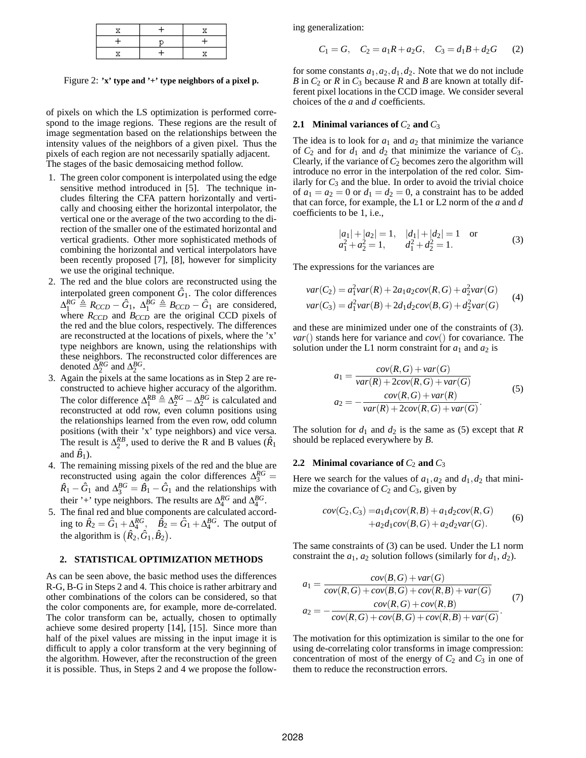Figure 2: **'x' type and '+' type neighbors of a pixel p.**

of pixels on which the LS optimization is performed correspond to the image regions. These regions are the result of image segmentation based on the relationships between the intensity values of the neighbors of a given pixel. Thus the pixels of each region are not necessarily spatially adjacent. The stages of the basic demosaicing method follow.

- 1. The green color component is interpolated using the edge sensitive method introduced in [5]. The technique includes filtering the CFA pattern horizontally and vertically and choosing either the horizontal interpolator, the vertical one or the average of the two according to the direction of the smaller one of the estimated horizontal and vertical gradients. Other more sophisticated methods of combining the horizontal and vertical interpolators have been recently proposed [7], [8], however for simplicity we use the original technique.
- 2. The red and the blue colors are reconstructed using the interpolated green component  $\hat{G}_1$ . The color differences  $\Delta_1^{RG} \triangleq R_{CCD} - \hat{G}_1$ ,  $\Delta_1^{BG} \triangleq B_{CCD} - \hat{G}_1$  are considered, where  $R_{CCD}$  and  $B_{CCD}$  are the original CCD pixels of the red and the blue colors, respectively. The differences are reconstructed at the locations of pixels, where the 'x' type neighbors are known, using the relationships with these neighbors. The reconstructed color differences are denoted  $\Delta_2^{RG}$  and  $\Delta_2^{BG}$ .
- 3. Again the pixels at the same locations as in Step 2 are reconstructed to achieve higher accuracy of the algorithm. The color difference  $\Delta_1^{RB} \triangleq \Delta_2^{RG} - \Delta_2^{BG}$  is calculated and reconstructed at odd row, even column positions using the relationships learned from the even row, odd column positions (with their 'x' type neighbors) and vice versa. The result is  $\Delta_2^{RB}$ , used to derive the R and B values ( $\hat{R}_1$ ) and  $\hat{B}_1$ ).
- 4. The remaining missing pixels of the red and the blue are reconstructed using again the color differences  $\Delta_3^{RG}$  =  $\hat{R}_1 - \hat{G}_1$  and  $\Delta_3^{BG} = \hat{B}_1 - \hat{G}_1$  and the relationships with their '+' type neighbors. The results are  $\Delta_4^{RG}$  and  $\Delta_4^{BG}$ .
- 5. The final red and blue components are calculated according to  $\hat{R}_2 = \hat{G}_1 + \Delta_4^{RG}$ ,  $\hat{B}_2 = \hat{G}_1 + \Delta_4^{BG}$ . The output of the algorithm is  $(\hat{R}_2, \hat{G}_1, \hat{B}_2)$ .

## **2. STATISTICAL OPTIMIZATION METHODS**

As can be seen above, the basic method uses the differences R-G, B-G in Steps 2 and 4. This choice is rather arbitrary and other combinations of the colors can be considered, so that the color components are, for example, more de-correlated. The color transform can be, actually, chosen to optimally achieve some desired property [14], [15]. Since more than half of the pixel values are missing in the input image it is difficult to apply a color transform at the very beginning of the algorithm. However, after the reconstruction of the green it is possible. Thus, in Steps 2 and 4 we propose the following generalization:

$$
C_1 = G, \quad C_2 = a_1 R + a_2 G, \quad C_3 = d_1 B + d_2 G \qquad (2)
$$

for some constants  $a_1$ ,  $a_2$ ,  $d_1$ ,  $d_2$ . Note that we do not include *B* in  $C_2$  or *R* in  $C_3$  because *R* and *B* are known at totally different pixel locations in the CCD image. We consider several choices of the *a* and *d* coefficients.

## **2.1 Minimal variances of**  $C_2$  **and**  $C_3$

The idea is to look for  $a_1$  and  $a_2$  that minimize the variance of  $C_2$  and for  $d_1$  and  $d_2$  that minimize the variance of  $C_3$ . Clearly, if the variance of  $C_2$  becomes zero the algorithm will introduce no error in the interpolation of the red color. Similarly for  $C_3$  and the blue. In order to avoid the trivial choice of  $a_1 = a_2 = 0$  or  $d_1 = d_2 = 0$ , a constraint has to be added that can force, for example, the L1 or L2 norm of the *a* and *d* coefficients to be 1, i.e.,

$$
|a_1| + |a_2| = 1, \quad |d_1| + |d_2| = 1 \quad \text{or}
$$
  
\n
$$
a_1^2 + a_2^2 = 1, \qquad d_1^2 + d_2^2 = 1.
$$
\n(3)

The expressions for the variances are

$$
var(C_2) = a_1^2 var(R) + 2a_1 a_2 cov(R, G) + a_2^2 var(G)
$$
  

$$
var(C_3) = d_1^2 var(B) + 2d_1 d_2 cov(B, G) + d_2^2 var(G)
$$
 (4)

and these are minimized under one of the constraints of (3). *var*() stands here for variance and *cov*() for covariance. The solution under the L1 norm constraint for  $a_1$  and  $a_2$  is

$$
a_1 = \frac{cov(R, G) + var(G)}{var(R) + 2cov(R, G) + var(G)}
$$
  
\n
$$
a_2 = -\frac{cov(R, G) + var(R)}{var(R) + 2cov(R, G) + var(G)}.
$$
\n(5)

The solution for  $d_1$  and  $d_2$  is the same as (5) except that *R* should be replaced everywhere by *B*.

# **2.2** Minimal covariance of  $C_2$  and  $C_3$

Here we search for the values of  $a_1$ ,  $a_2$  and  $d_1$ ,  $d_2$  that minimize the covariance of  $C_2$  and  $C_3$ , given by

$$
cov(C_2, C_3) = a_1 d_1 cov(R, B) + a_1 d_2 cov(R, G) + a_2 d_1 cov(B, G) + a_2 d_2 var(G).
$$
 (6)

The same constraints of (3) can be used. Under the L1 norm constraint the  $a_1$ ,  $a_2$  solution follows (similarly for  $d_1$ ,  $d_2$ ).

$$
a_1 = \frac{cov(B, G) + var(G)}{cov(R, G) + cov(B, G) + cov(R, B) + var(G)}
$$
  
\n
$$
a_2 = -\frac{cov(R, G) + cov(R, B)}{cov(R, G) + cov(B, G) + cov(R, B) + var(G)}.
$$
\n(7)

The motivation for this optimization is similar to the one for using de-correlating color transforms in image compression: concentration of most of the energy of  $C_2$  and  $C_3$  in one of them to reduce the reconstruction errors.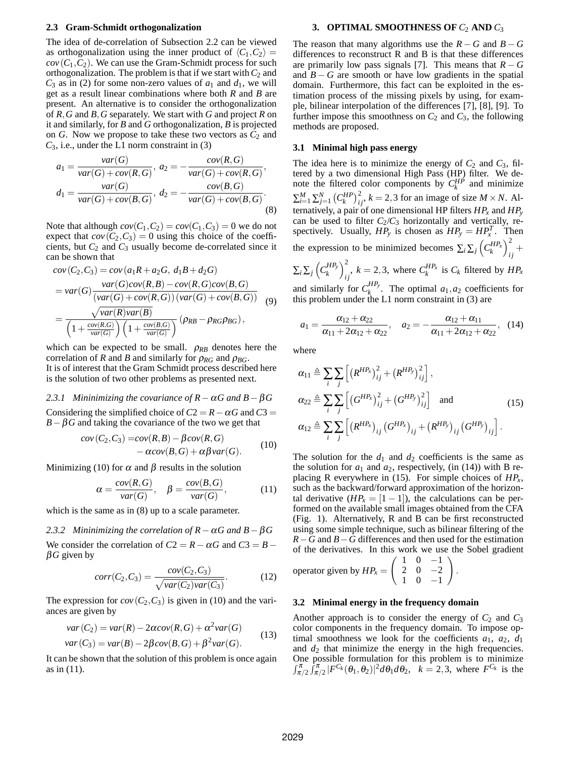#### **2.3 Gram-Schmidt orthogonalization**

The idea of de-correlation of Subsection 2.2 can be viewed as orthogonalization using the inner product of  $\langle C_1, C_2 \rangle =$  $cov(C_1, C_2)$ . We can use the Gram-Schmidt process for such orthogonalization. The problem is that if we start with  $C_2$  and  $C_3$  as in (2) for some non-zero values of  $a_1$  and  $d_1$ , we will get as a result linear combinations where both *R* and *B* are present. An alternative is to consider the orthogonalization of *R,G* and *B,G* separately. We start with *G* and project *R* on it and similarly, for *B* and *G* orthogonalization, *B* is projected on  $G$ . Now we propose to take these two vectors as  $C_2$  and *C*3, i.e., under the L1 norm constraint in (3)

$$
a_1 = \frac{var(G)}{var(G) + cov(R, G)}, a_2 = -\frac{cov(R, G)}{var(G) + cov(R, G)},
$$
  

$$
d_1 = \frac{var(G)}{var(G) + cov(B, G)}, d_2 = -\frac{cov(B, G)}{var(G) + cov(B, G)}.
$$
  
(8)

Note that although  $cov(C_1, C_2) = cov(C_1, C_3) = 0$  we do not expect that  $cov(C_2, C_3) = 0$  using this choice of the coefficients, but  $C_2$  and  $C_3$  usually become de-correlated since it can be shown that

$$
cov(C_2, C_3) = cov(a_1R + a_2G, d_1B + d_2G)
$$
  
=  $var(G) \frac{var(G)cov(R, B) - cov(R, G)cov(B, G)}{(var(G) + cov(R, G))(var(G) + cov(B, G))}$   
=  $\frac{\sqrt{var(R)var(B)}}{\left(1 + \frac{cov(R, G)}{var(G)}\right)\left(1 + \frac{cov(B, G)}{var(G)}\right)} (\rho_{RB} - \rho_{RG}\rho_{BG}),$  (9)

which can be expected to be small.  $\rho_{RB}$  denotes here the correlation of *R* and *B* and similarly for  $\rho_{RG}$  and  $\rho_{BG}$ . It is of interest that the Gram Schmidt process described here is the solution of two other problems as presented next.

*2.3.1 Mininimizing the covariance of R*−<sup>α</sup>*G and B*−β*G* Considering the simplified choice of  $C2 = R - \alpha G$  and  $C3 =$  $B - \beta G$  and taking the covariance of the two we get that

$$
cov(C_2, C_3) = cov(R, B) - \beta cov(R, G)
$$
  
-  $\alpha cov(B, G) + \alpha \beta var(G)$ . (10)

Minimizing (10) for  $\alpha$  and  $\beta$  results in the solution

$$
\alpha = \frac{cov(R, G)}{var(G)}, \quad \beta = \frac{cov(B, G)}{var(G)}, \quad (11)
$$

which is the same as in (8) up to a scale parameter.

*2.3.2 Mininimizing the correlation of R*−<sup>α</sup>*G and B*−β*G*

We consider the correlation of  $C2 = R - \alpha G$  and  $C3 = B$ β*G* given by

$$
corr(C_2, C_3) = \frac{cov(C_2, C_3)}{\sqrt{var(C_2)var(C_3)}}.
$$
\n(12)

The expression for  $cov(C_2, C_3)$  is given in (10) and the variances are given by

$$
var(C_2) = var(R) - 2\alpha cov(R, G) + \alpha^2 var(G)
$$
  

$$
var(C_3) = var(B) - 2\beta cov(B, G) + \beta^2 var(G).
$$
 (13)

It can be shown that the solution of this problem is once again as in (11).

#### **3. OPTIMAL SMOOTHNESS OF**  $C_2$  AND  $C_3$

The reason that many algorithms use the  $R - G$  and  $B - G$ differences to reconstruct R and B is that these differences are primarily low pass signals [7]. This means that  $R - G$ and  $B - G$  are smooth or have low gradients in the spatial domain. Furthermore, this fact can be exploited in the estimation process of the missing pixels by using, for example, bilinear interpolation of the differences [7], [8], [9]. To further impose this smoothness on  $C_2$  and  $C_3$ , the following methods are proposed.

#### **3.1 Minimal high pass energy**

The idea here is to minimize the energy of  $C_2$  and  $C_3$ , filtered by a two dimensional High Pass (HP) filter. We denote the filtered color components by  $C_k^{HP}$  and minimize  $\sum_{i=1}^{M} \sum_{j=1}^{N} (C_{k}^{HP})_{ij}^{2}$ ,  $k = 2,3$  for an image of size  $M \times N$ . Alternatively, a pair of one dimensional HP filters  $HP_x$  and  $HP_y$ can be used to filter  $C_2/C_3$  horizontally and vertically, respectively. Usually,  $HP_y$  is chosen as  $HP_y = HP_x^T$ . Then the expression to be minimized becomes  $\sum_i \sum_j \left( C_k^{HP_x} \right)_i^2$  $\frac{1}{ij}$  $\sum_i \sum_j \left(C_k^{HP_y}\right)_i^2$  $\sum_{i,j}^{L}$ ,  $k = 2,3$ , where  $C_k^{HP_X}$  is  $C_k$  filtered by  $HP_X$ 

and similarly for  $C_k^{HP_y}$ . The optimal  $a_1, a_2$  coefficients for this problem under the  $L1$  norm constraint in  $(3)$  are

$$
a_1 = \frac{\alpha_{12} + \alpha_{22}}{\alpha_{11} + 2\alpha_{12} + \alpha_{22}}, \quad a_2 = -\frac{\alpha_{12} + \alpha_{11}}{\alpha_{11} + 2\alpha_{12} + \alpha_{22}}, \quad (14)
$$

where

$$
\alpha_{11} \triangleq \sum_{i} \sum_{j} \left[ \left( R^{HP_x} \right)_{ij}^2 + \left( R^{HP_y} \right)_{ij}^2 \right],
$$
  
\n
$$
\alpha_{22} \triangleq \sum_{i} \sum_{j} \left[ \left( G^{HP_x} \right)_{ij}^2 + \left( G^{HP_y} \right)_{ij}^2 \right] \text{ and }
$$
  
\n
$$
\alpha_{12} \triangleq \sum_{i} \sum_{j} \left[ \left( R^{HP_x} \right)_{ij} \left( G^{HP_x} \right)_{ij} + \left( R^{HP_y} \right)_{ij} \left( G^{HP_y} \right)_{ij} \right].
$$
\n(15)

The solution for the  $d_1$  and  $d_2$  coefficients is the same as the solution for  $a_1$  and  $a_2$ , respectively, (in (14)) with B replacing R everywhere in (15). For simple choices of *HPx*, such as the backward/forward approximation of the horizontal derivative  $(HP_x = [1 - 1])$ , the calculations can be performed on the available small images obtained from the CFA (Fig. 1). Alternatively, R and B can be first reconstructed using some simple technique, such as bilinear filtering of the *R*−*G* and *B*−*G* differences and then used for the estimation of the derivatives. In this work we use the Sobel gradient

*.*

operator given by 
$$
HP_x = \begin{pmatrix} 1 & 0 & -1 \\ 2 & 0 & -2 \\ 1 & 0 & -1 \end{pmatrix}
$$

# **3.2 Minimal energy in the frequency domain**

Another approach is to consider the energy of  $C_2$  and  $C_3$ color components in the frequency domain. To impose optimal smoothness we look for the coefficients  $a_1$ ,  $a_2$ ,  $d_1$ and  $d_2$  that minimize the energy in the high frequencies. One possible formulation for this problem is to minimize  $\int_{\pi/2}^{\pi} \int_{\pi/2}^{\pi} |F^{C_k}(\theta_1, \theta_2)|^2 d\theta_1 d\theta_2$ ,  $k = 2, 3$ , where  $F^{C_k}$  is the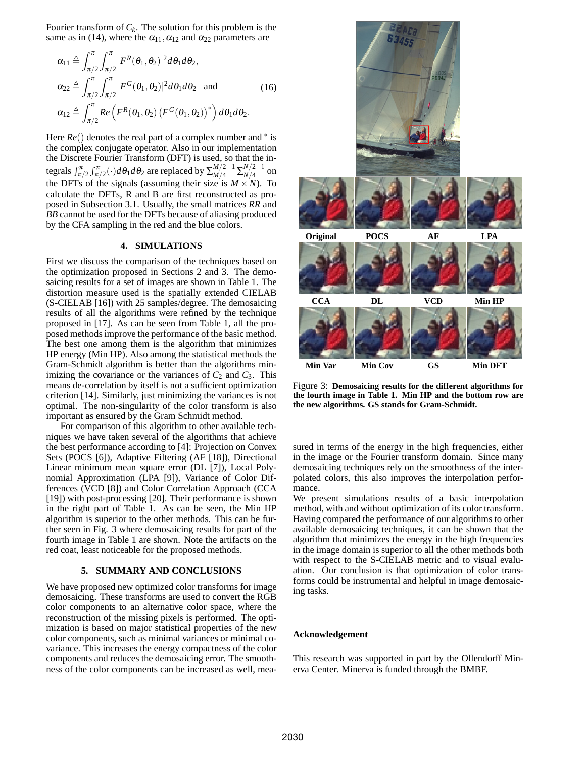Fourier transform of  $C_k$ . The solution for this problem is the same as in (14), where the  $\alpha_{11}, \alpha_{12}$  and  $\alpha_{22}$  parameters are

$$
\alpha_{11} \triangleq \int_{\pi/2}^{\pi} \int_{\pi/2}^{\pi} |F^R(\theta_1, \theta_2)|^2 d\theta_1 d\theta_2,
$$
  
\n
$$
\alpha_{22} \triangleq \int_{\pi/2}^{\pi} \int_{\pi/2}^{\pi} |F^G(\theta_1, \theta_2)|^2 d\theta_1 d\theta_2 \text{ and } (16)
$$
  
\n
$$
\alpha_{12} \triangleq \int_{\pi/2}^{\pi} Re\left(F^R(\theta_1, \theta_2) \left(F^G(\theta_1, \theta_2)\right)^*\right) d\theta_1 d\theta_2.
$$

Here *Re*() denotes the real part of a complex number and <sup>∗</sup> is the complex conjugate operator. Also in our implementation the Discrete Fourier Transform (DFT) is used, so that the integrals  $\int_{\pi/2}^{\pi} \int_{\pi/2}^{\pi} (\cdot) d\theta_1 d\theta_2$  are replaced by  $\sum_{M/4}^{M/2-1} \sum_{N/4}^{N/2-1}$  on the DFTs of the signals (assuming their size is  $M \times N$ ). To calculate the DFTs, R and B are first reconstructed as proposed in Subsection 3.1. Usually, the small matrices *RR* and *BB* cannot be used for the DFTs because of aliasing produced by the CFA sampling in the red and the blue colors.

#### **4. SIMULATIONS**

First we discuss the comparison of the techniques based on the optimization proposed in Sections 2 and 3. The demosaicing results for a set of images are shown in Table 1. The distortion measure used is the spatially extended CIELAB (S-CIELAB [16]) with 25 samples/degree. The demosaicing results of all the algorithms were refined by the technique proposed in [17]. As can be seen from Table 1, all the proposed methods improve the performance of the basic method. The best one among them is the algorithm that minimizes HP energy (Min HP). Also among the statistical methods the Gram-Schmidt algorithm is better than the algorithms minimizing the covariance or the variances of  $C_2$  and  $C_3$ . This means de-correlation by itself is not a sufficient optimization criterion [14]. Similarly, just minimizing the variances is not optimal. The non-singularity of the color transform is also important as ensured by the Gram Schmidt method.

For comparison of this algorithm to other available techniques we have taken several of the algorithms that achieve the best performance according to [4]: Projection on Convex Sets (POCS [6]), Adaptive Filtering (AF [18]), Directional Linear minimum mean square error (DL [7]), Local Polynomial Approximation (LPA [9]), Variance of Color Differences (VCD [8]) and Color Correlation Approach (CCA [19]) with post-processing [20]. Their performance is shown in the right part of Table 1. As can be seen, the Min HP algorithm is superior to the other methods. This can be further seen in Fig. 3 where demosaicing results for part of the fourth image in Table 1 are shown. Note the artifacts on the red coat, least noticeable for the proposed methods.

#### **5. SUMMARY AND CONCLUSIONS**

We have proposed new optimized color transforms for image demosaicing. These transforms are used to convert the RGB color components to an alternative color space, where the reconstruction of the missing pixels is performed. The optimization is based on major statistical properties of the new color components, such as minimal variances or minimal covariance. This increases the energy compactness of the color components and reduces the demosaicing error. The smoothness of the color components can be increased as well, mea-



Figure 3: **Demosaicing results for the different algorithms for the fourth image in Table 1. Min HP and the bottom row are the new algorithms. GS stands for Gram-Schmidt.**

sured in terms of the energy in the high frequencies, either in the image or the Fourier transform domain. Since many demosaicing techniques rely on the smoothness of the interpolated colors, this also improves the interpolation performance.

We present simulations results of a basic interpolation method, with and without optimization of its color transform. Having compared the performance of our algorithms to other available demosaicing techniques, it can be shown that the algorithm that minimizes the energy in the high frequencies in the image domain is superior to all the other methods both with respect to the S-CIELAB metric and to visual evaluation. Our conclusion is that optimization of color transforms could be instrumental and helpful in image demosaicing tasks.

#### **Acknowledgement**

This research was supported in part by the Ollendorff Minerva Center. Minerva is funded through the BMBF.